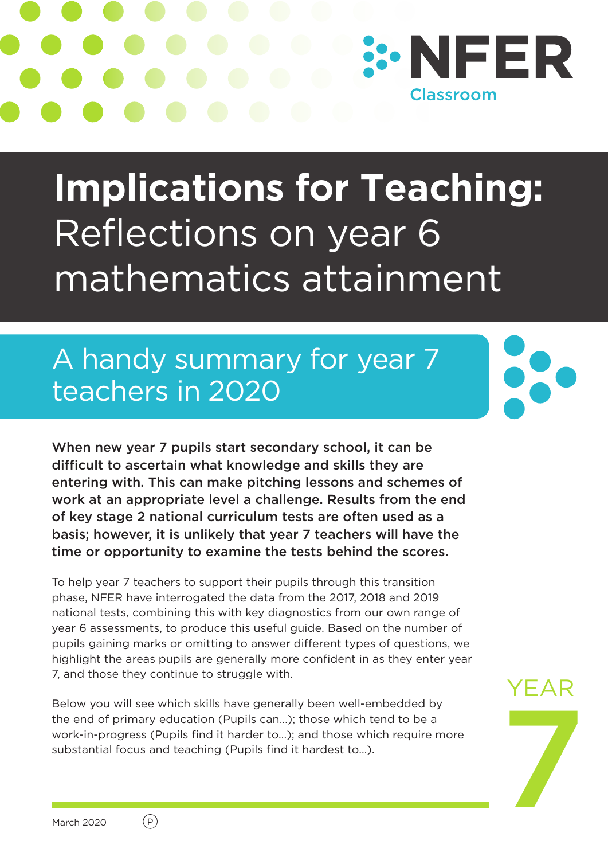

# **Implications for Teaching:**  Reflections on year 6 mathematics attainment

# A handy summary for year 7 teachers in 2020

When new year 7 pupils start secondary school, it can be difficult to ascertain what knowledge and skills they are entering with. This can make pitching lessons and schemes of work at an appropriate level a challenge. Results from the end of key stage 2 national curriculum tests are often used as a basis; however, it is unlikely that year 7 teachers will have the time or opportunity to examine the tests behind the scores.

To help year 7 teachers to support their pupils through this transition phase, NFER have interrogated the data from the 2017, 2018 and 2019 national tests, combining this with key diagnostics from our own range of year 6 assessments, to produce this useful guide. Based on the number of pupils gaining marks or omitting to answer different types of questions, we highlight the areas pupils are generally more confident in as they enter year 7, and those they continue to struggle with.

Below you will see which skills have generally been well-embedded by the end of primary education (Pupils can…); those which tend to be a work-in-progress (Pupils find it harder to…); and those which require more substantial focus and teaching (Pupils find it hardest to…).